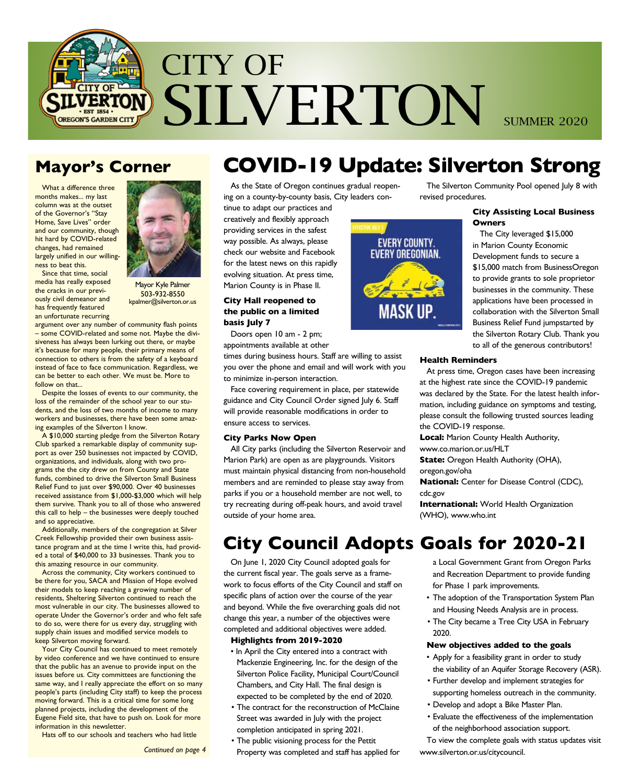

### **Mayor's Corner**

What a difference three months makes... my last column was at the outset of the Governor's "Stay Home, Save Lives" order and our community, though hit hard by COVID-related changes, had remained largely unified in our willingness to beat this.

Since that time, social media has really exposed the cracks in our previously civil demeanor and has frequently featured an unfortunate recurring

Mayor Kyle Palmer 503-932-8550 kpalmer@silverton.or.us

argument over any number of community flash points – some COVID-related and some not. Maybe the divisiveness has always been lurking out there, or maybe it's because for many people, their primary means of connection to others is from the safety of a keyboard instead of face to face communication. Regardless, we can be better to each other. We must be. More to follow on that...

Despite the losses of events to our community, the loss of the remainder of the school year to our students, and the loss of two months of income to many workers and businesses, there have been some amazing examples of the Silverton I know.

A \$10,000 starting pledge from the Silverton Rotary Club sparked a remarkable display of community support as over 250 businesses not impacted by COVID, organizations, and individuals, along with two programs the the city drew on from County and State funds, combined to drive the Silverton Small Business Relief Fund to just over \$90,000. Over 40 businesses received assistance from \$1,000-\$3,000 which will help them survive. Thank you to all of those who answered this call to help – the businesses were deeply touched and so appreciative.

Additionally, members of the congregation at Silver Creek Fellowship provided their own business assistance program and at the time I write this, had provided a total of \$40,000 to 33 businesses. Thank you to this amazing resource in our community.

Across the community, City workers continued to be there for you, SACA and Mission of Hope evolved their models to keep reaching a growing number of residents, Sheltering Silverton continued to reach the most vulnerable in our city. The businesses allowed to operate Under the Governor's order and who felt safe to do so, were there for us every day, struggling with supply chain issues and modified service models to keep Silverton moving forward.

Your City Council has continued to meet remotely by video conference and we have continued to ensure that the public has an avenue to provide input on the issues before us. City committees are functioning the same way, and I really appreciate the effort on so many people's parts (including City staff) to keep the process moving forward. This is a critical time for some long planned projects, including the development of the Eugene Field site, that have to push on. Look for more information in this newsletter.

Hats off to our schools and teachers who had little

*Continued on page 4*

# **COVID-19 Update: Silverton Strong**

As the State of Oregon continues gradual reopening on a county-by-county basis, City leaders con-

tinue to adapt our practices and creatively and flexibly approach providing services in the safest way possible. As always, please check our website and Facebook for the latest news on this rapidly evolving situation. At press time, Marion County is in Phase II.

### **City Hall reopened to the public on a limited basis July 7**

Doors open 10 am - 2 pm;

appointments available at other times during business hours. Staff are willing to assist you over the phone and email and will work with you to minimize in-person interaction.

Face covering requirement in place, per statewide guidance and City Council Order signed July 6. Staff will provide reasonable modifications in order to ensure access to services.

#### **City Parks Now Open**

All City parks (including the Silverton Reservoir and Marion Park) are open as are playgrounds. Visitors must maintain physical distancing from non-household members and are reminded to please stay away from parks if you or a household member are not well, to try recreating during off-peak hours, and avoid travel outside of your home area.

## **City Council Adopts Goals for 2020-21**

On June 1, 2020 City Council adopted goals for the current fiscal year. The goals serve as a framework to focus efforts of the City Council and staff on specific plans of action over the course of the year and beyond. While the five overarching goals did not change this year, a number of the objectives were completed and additional objectives were added.

### **Highlights from 2019-2020**

- In April the City entered into a contract with Mackenzie Engineering, Inc. for the design of the Silverton Police Facility, Municipal Court/Council Chambers, and City Hall. The final design is expected to be completed by the end of 2020.
- The contract for the reconstruction of McClaine Street was awarded in July with the project completion anticipated in spring 2021.
- The public visioning process for the Pettit Property was completed and staff has applied for

The Silverton Community Pool opened July 8 with revised procedures.

### **City Assisting Local Business Owners**

The City leveraged \$15,000 in Marion County Economic Development funds to secure a \$15,000 match from BusinessOregon to provide grants to sole proprietor businesses in the community. These applications have been processed in collaboration with the Silverton Small Business Relief Fund jumpstarted by the Silverton Rotary Club. Thank you to all of the generous contributors!

#### **Health Reminders**

At press time, Oregon cases have been increasing at the highest rate since the COVID-19 pandemic was declared by the State. For the latest health information, including guidance on symptoms and testing, please consult the following trusted sources leading the COVID-19 response.

**Local:** Marion County Health Authority,

www.co.marion.or.us/HLT

**State:** Oregon Health Authority (OHA), oregon.gov/oha

**National:** Center for Disease Control (CDC), cdc.gov

**International:** World Health Organization (WHO), www.who.int

 a Local Government Grant from Oregon Parks and Recreation Department to provide funding for Phase 1 park improvements.

- The adoption of the Transportation System Plan and Housing Needs Analysis are in process.
- The City became a Tree City USA in February 2020.

#### **New objectives added to the goals**

- Apply for a feasibility grant in order to study the viability of an Aquifer Storage Recovery (ASR).
- Further develop and implement strategies for supporting homeless outreach in the community.
- Develop and adopt a Bike Master Plan.
- Evaluate the effectiveness of the implementation of the neighborhood association support.

To view the complete goals with status updates visit www.silverton.or.us/citycouncil.

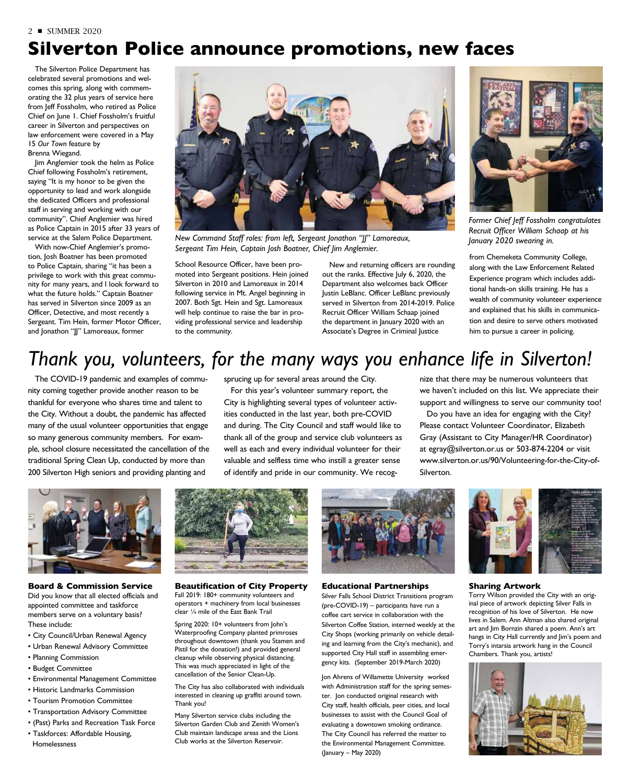# **Silverton Police announce promotions, new faces**

The Silverton Police Department has celebrated several promotions and welcomes this spring, along with commemorating the 32 plus years of service here from Jeff Fossholm, who retired as Police Chief on June 1. Chief Fossholm's fruitful career in Silverton and perspectives on law enforcement were covered in a May 15 *Our Town* feature by Brenna Wiegand.

Jim Anglemier took the helm as Police Chief following Fossholm's retirement, saying "It is my honor to be given the opportunity to lead and work alongside the dedicated Officers and professional staff in serving and working with our community". Chief Anglemier was hired as Police Captain in 2015 after 33 years of service at the Salem Police Department.

With now-Chief Anglemier's promotion, Josh Boatner has been promoted to Police Captain, sharing "it has been a privilege to work with this great community for many years, and I look forward to what the future holds." Captain Boatner has served in Silverton since 2009 as an Officer, Detective, and most recently a Sergeant. Tim Hein, former Motor Officer, and Jonathon "JJ" Lamoreaux, former



*Recruit Officer William Schaap at his New Command Staff roles: from left, Sergeant Jonathon "JJ" Lamoreaux, January 2020 swearing in. Sergeant Tim Hein, Captain Josh Boatner, Chief Jim Anglemier.*

School Resource Officer, have been promoted into Sergeant positions. Hein joined Silverton in 2010 and Lamoreaux in 2014 following service in Mt. Angel beginning in 2007. Both Sgt. Hein and Sgt. Lamoreaux will help continue to raise the bar in providing professional service and leadership to the community.

New and returning officers are rounding out the ranks. Effective July 6, 2020, the Department also welcomes back Officer Justin LeBlanc. Officer LeBlanc previously served in Silverton from 2014-2019. Police Recruit Officer William Schaap joined the department in January 2020 with an Associate's Degree in Criminal Justice



*Former Chief Jeff Fossholm congratulates* 

from Chemeketa Community College, along with the Law Enforcement Related Experience program which includes additional hands-on skills training. He has a wealth of community volunteer experience and explained that his skills in communication and desire to serve others motivated him to pursue a career in policing.

# *Thank you, volunteers, for the many ways you enhance life in Silverton!*

The COVID-19 pandemic and examples of community coming together provide another reason to be thankful for everyone who shares time and talent to the City. Without a doubt, the pandemic has affected many of the usual volunteer opportunities that engage so many generous community members. For example, school closure necessitated the cancellation of the traditional Spring Clean Up, conducted by more than 200 Silverton High seniors and providing planting and

sprucing up for several areas around the City.

For this year's volunteer summary report, the City is highlighting several types of volunteer activities conducted in the last year, both pre-COVID and during. The City Council and staff would like to thank all of the group and service club volunteers as well as each and every individual volunteer for their valuable and selfless time who instill a greater sense of identify and pride in our community. We recognize that there may be numerous volunteers that we haven't included on this list. We appreciate their support and willingness to serve our community too!

Do you have an idea for engaging with the City? Please contact Volunteer Coordinator, Elizabeth Gray (Assistant to City Manager/HR Coordinator) at egray@silverton.or.us or 503-874-2204 or visit www.silverton.or.us/90/Volunteering-for-the-City-of-Silverton.



**Board & Commission Service** Did you know that all elected officials and appointed committee and taskforce members serve on a voluntary basis? These include:

- City Council/Urban Renewal Agency
- Urban Renewal Advisory Committee
- Planning Commission
- Budget Committee
- Environmental Management Committee
- Historic Landmarks Commission
- Tourism Promotion Committee
- Transportation Advisory Committee
- (Past) Parks and Recreation Task Force
- Taskforces: Affordable Housing, Homelessness



**Beautification of City Property** Fall 2019: 180+ community volunteers and operators + machinery from local businesses clear ¼ mile of the East Bank Trail

Spring 2020: 10+ volunteers from John's Waterproofing Company planted primroses throughout downtown (thank you Stamen and Pistil for the donation!) and provided general cleanup while observing physical distancing. This was much appreciated in light of the cancellation of the Senior Clean-Up.

The City has also collaborated with individuals interested in cleaning up graffiti around town. Thank you!

Many Silverton service clubs including the Silverton Garden Club and Zenith Women's Club maintain landscape areas and the Lions Club works at the Silverton Reservoir.



**Educational Partnerships** Silver Falls School District Transitions program (pre-COVID-19) – participants have run a coffee cart service in collaboration with the Silverton Coffee Station, interned weekly at the City Shops (working primarily on vehicle detailing and learning from the City's mechanic), and supported City Hall staff in assembling emergency kits. (September 2019-March 2020)

Jon Ahrens of Willamette University worked with Administration staff for the spring semester. Jon conducted original research with City staff, health officials, peer cities, and local businesses to assist with the Council Goal of evaluating a downtown smoking ordinance. The City Council has referred the matter to the Environmental Management Committee. (January – May 2020)



#### **Sharing Artwork**

Torry Wilson provided the City with an original piece of artwork depicting Silver Falls in recognition of his love of Silverton. He now lives in Salem. Ann Altman also shared original art and Jim Bornzin shared a poem. Ann's art hangs in City Hall currently and Jim's poem and Torry's intarsia artwork hang in the Council Chambers. Thank you, artists!

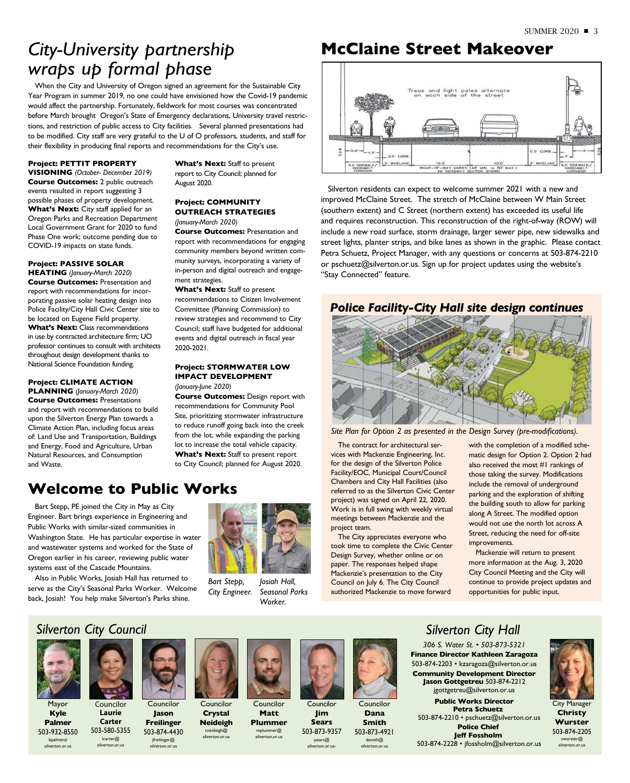## *City-University partnership wraps up formal phase*

When the City and University of Oregon signed an agreement for the Sustainable City Year Program in summer 2019, no one could have envisioned how the Covid-19 pandemic would affect the partnership. Fortunately, fieldwork for most courses was concentrated before March brought Oregon's State of Emergency declarations, University travel restrictions, and restriction of public access to City facilities. Several planned presentations had to be modified. City staff are very grateful to the U of O professors, students, and staff for their flexibility in producing final reports and recommendations for the City's use.

#### **Project: PETTIT PROPERTY**

**VISIONING** *(October- December 2019)* **Course Outcomes:** 2 public outreach events resulted in report suggesting 3 possible phases of property development. What's Next: City staff applied for an Oregon Parks and Recreation Department Local Government Grant for 2020 to fund Phase One work; outcome pending due to COVID-19 impacts on state funds.

### **Project: PASSIVE SOLAR**

**HEATING** *(January-March 2020)* **Course Outcomes:** Presentation and report with recommendations for incorporating passive solar heating design into Police Facility/City Hall Civic Center site to be located on Eugene Field property. What's **Next:** Class recommendations in use by contracted architecture firm; UO professor continues to consult with architects throughout design development thanks to National Science Foundation funding.

**Project: CLIMATE ACTION PLANNING** *(January-March 2020)* **Course Outcomes:** Presentations and report with recommendations to build upon the Silverton Energy Plan towards a Climate Action Plan, including focus areas of: Land Use and Transportation, Buildings and Energy, Food and Agriculture, Urban Natural Resources, and Consumption and Waste.

What's Next: Staff to present report to City Council; planned for August 2020.

#### **Project: COMMUNITY OUTREACH STRATEGIES** *(January-March 2020)*

**Course Outcomes:** Presentation and report with recommendations for engaging community members beyond written community surveys, incorporating a variety of in-person and digital outreach and engagement strategies.

What's Next: Staff to present recommendations to Citizen Involvement Committee (Planning Commission) to review strategies and recommend to City Council; staff have budgeted for additional events and digital outreach in fiscal year 2020-2021.

#### **Project: STORMWATER LOW IMPACT DEVELOPMENT** *(January-June 2020)*

**Course Outcomes:** Design report with recommendations for Community Pool Site, prioritizing stormwater infrastructure to reduce runoff going back into the creek from the lot, while expanding the parking lot to increase the total vehicle capacity. **What's Next:** Staff to present report to City Council; planned for August 2020.

### **Welcome to Public Works**

Bart Stepp, PE joined the City in May as City Engineer. Bart brings experience in Engineering and Public Works with similar-sized communities in Washington State. He has particular expertise in water and wastewater systems and worked for the State of Oregon earlier in his career, reviewing public water systems east of the Cascade Mountains.

Also in Public Works, Josiah Hall has returned to serve as the City's Seasonal Parks Worker. Welcome back, Josiah! You help make Silverton's Parks shine.



*Bart Stepp, City Engineer. Josiah Hall, Seasonal Parks Worker.*

## **McClaine Street Makeover**



Silverton residents can expect to welcome summer 2021 with a new and improved McClaine Street. The stretch of McClaine between W Main Street (southern extent) and C Street (northern extent) has exceeded its useful life and requires reconstruction. This reconstruction of the right-of-way (ROW) will include a new road surface, storm drainage, larger sewer pipe, new sidewalks and street lights, planter strips, and bike lanes as shown in the graphic. Please contact Petra Schuetz, Project Manager, with any questions or concerns at 503-874-2210 or pschuetz@silverton.or.us. Sign up for project updates using the website's "Stay Connected" feature.

### *Police Facility-City Hall site design continues*



*Site Plan for Option 2 as presented in the Design Survey (pre-modifications).*

The contract for architectural services with Mackenzie Engineering, Inc. for the design of the Silverton Police Facility/EOC, Municipal Court/Council Chambers and City Hall Facilities (also referred to as the Silverton Civic Center project) was signed on April 22, 2020. Work is in full swing with weekly virtual meetings between Mackenzie and the project team.

The City appreciates everyone who took time to complete the Civic Center Design Survey, whether online or on paper. The responses helped shape Mackenzie's presentation to the City Council on July 6. The City Council authorized Mackenzie to move forward

with the completion of a modified schematic design for Option 2. Option 2 had also received the most #1 rankings of those taking the survey. Modifications include the removal of underground parking and the exploration of shifting the building south to allow for parking along A Street. The modified option would not use the north lot across A Street, reducing the need for off-site improvements.

Mackenzie will return to present more information at the Aug. 3, 2020 City Council Meeting and the City will continue to provide project updates and opportunities for public input.

### *Silverton City Council*



Mayor **Kyle Palmer**

503-932-8550 kpalmer@ silverton.or.us

Councilor **Laurie Carter** 503-580-5355 lcarter@ silverton.or.us



Councilor **Jason Freilinger** 503-874-4430 cneideigh@ silverton.or.us

jfreilinger@ silverton.or.us





Councilor **Jim Sears** 503-873-9357

jsears@ silverton.or.us-



**Dana Smith** 503-873-4921 dsmith@ silverton.or.us

### *Silverton City Hall*

*306 S. Water St. • 503-873-5321* **Finance Director Kathleen Zaragoza** 503-874-2203 • kzaragoza@silverton.or.us **Community Development Director Jason Gottgetreu** 503-874-2212 jgottgetreu@silverton.or.us

**Public Works Director Petra Schuetz** 503-874-2210 • pschuetz@silverton.or.us **Police Chief Jeff Fossholm** 503-874-2228 • jfossholm@silverton.or.us



City Manager **Christy Wurster** 503-874-2205 cwurster@ silverton.or.us



mplummer@ silverton.or.us